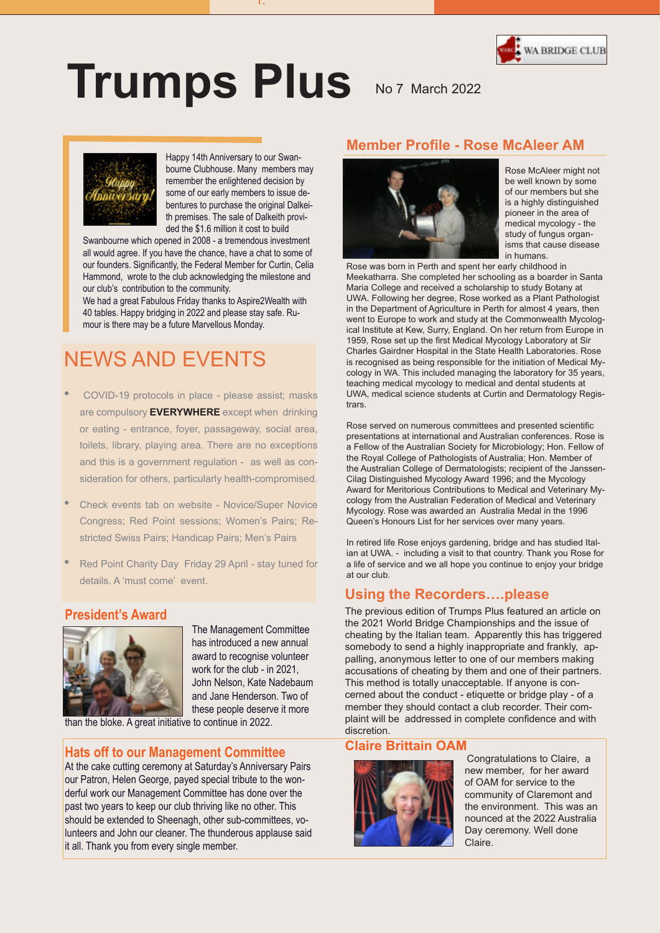

# **Trumps Plus** No 7 March 2022



Happy 14th Anniversary to our Swanbourne Clubhouse. Many members may remember the enlightened decision by some of our early members to issue debentures to purchase the original Dalkeith premises. The sale of Dalkeith provided the \$1.6 million it cost to build

1.

Swanbourne which opened in 2008 - a tremendous investment all would agree. If you have the chance, have a chat to some of our founders. Significantly, the Federal Member for Curtin, Celia Hammond, wrote to the club acknowledging the milestone and our club's contribution to the community.

We had a great Fabulous Friday thanks to Aspire2Wealth with 40 tables. Happy bridging in 2022 and please stay safe. Rumour is there may be a future Marvellous Monday.

# NEWS AND EVENTS

- COVID-19 protocols in place please assist; masks are compulsory **EVERYWHERE** except when drinking or eating - entrance, foyer, passageway, social area, toilets, library, playing area. There are no exceptions and this is a government regulation - as well as consideration for others, particularly health-compromised.
- Check events tab on website Novice/Super Novice Congress; Red Point sessions; Women's Pairs; Restricted Swiss Pairs; Handicap Pairs; Men's Pairs
- Red Point Charity Day Friday 29 April stay tuned for details. A 'must come' event.

#### **President's Award**



The Management Committee has introduced a new annual award to recognise volunteer work for the club - in 2021, John Nelson, Kate Nadebaum and Jane Henderson. Two of these people deserve it more

than the bloke. A great initiative to continue in 2022.

#### **Hats off to our Management Committee**

it all. Thank you hom it all. Thank you from every single member. cubilia Curae lunteers and John our cleaner. The thunderous applause said should be extended to Sheenagh, other sub-committees, vopast two years to keep our club thriving like no other. This At the cake cutting ceremony at Saturday's Anniversary Pairs our Patron, Helen George, payed special tribute to the wonderful work our Management Committee has done over the

### **Member Profile - Rose McAleer AM**



Rose McAleer might not be well known by some of our members but she is a highly distinguished pioneer in the area of medical mycology - the study of fungus organisms that cause disease in humans.

Rose was born in Perth and spent her early childhood in Meekatharra. She completed her schooling as a boarder in Santa Maria College and received a scholarship to study Botany at UWA. Following her degree, Rose worked as a Plant Pathologist in the Department of Agriculture in Perth for almost 4 years, then went to Europe to work and study at the Commonwealth Mycological Institute at Kew, Surry, England. On her return from Europe in 1959, Rose set up the first Medical Mycology Laboratory at Sir Charles Gairdner Hospital in the State Health Laboratories. Rose is recognised as being responsible for the initiation of Medical Mycology in WA. This included managing the laboratory for 35 years, teaching medical mycology to medical and dental students at UWA, medical science students at Curtin and Dermatology Registrars.

Rose served on numerous committees and presented scientific presentations at international and Australian conferences. Rose is a Fellow of the Australian Society for Microbiology; Hon. Fellow of the Royal College of Pathologists of Australia; Hon. Member of the Australian College of Dermatologists; recipient of the Janssen-Cilag Distinguished Mycology Award 1996; and the Mycology Award for Meritorious Contributions to Medical and Veterinary Mycology from the Australian Federation of Medical and Veterinary Mycology. Rose was awarded an Australia Medal in the 1996 Queen's Honours List for her services over many years.

In retired life Rose enjoys gardening, bridge and has studied Italian at UWA. - including a visit to that country. Thank you Rose for a life of service and we all hope you continue to enjoy your bridge at our club.

#### **Using the Recorders….please**

The previous edition of Trumps Plus featured an article on the 2021 World Bridge Championships and the issue of cheating by the Italian team. Apparently this has triggered somebody to send a highly inappropriate and frankly, appalling, anonymous letter to one of our members making accusations of cheating by them and one of their partners. This method is totally unacceptable. If anyone is concerned about the conduct - etiquette or bridge play - of a member they should contact a club recorder. Their complaint will be addressed in complete confidence and with discretion.

#### **Claire Brittain OAM**



Congratulations to Claire, a new member, for her award of OAM for service to the community of Claremont and the environment. This was an nounced at the 2022 Australia Day ceremony. Well done Claire.